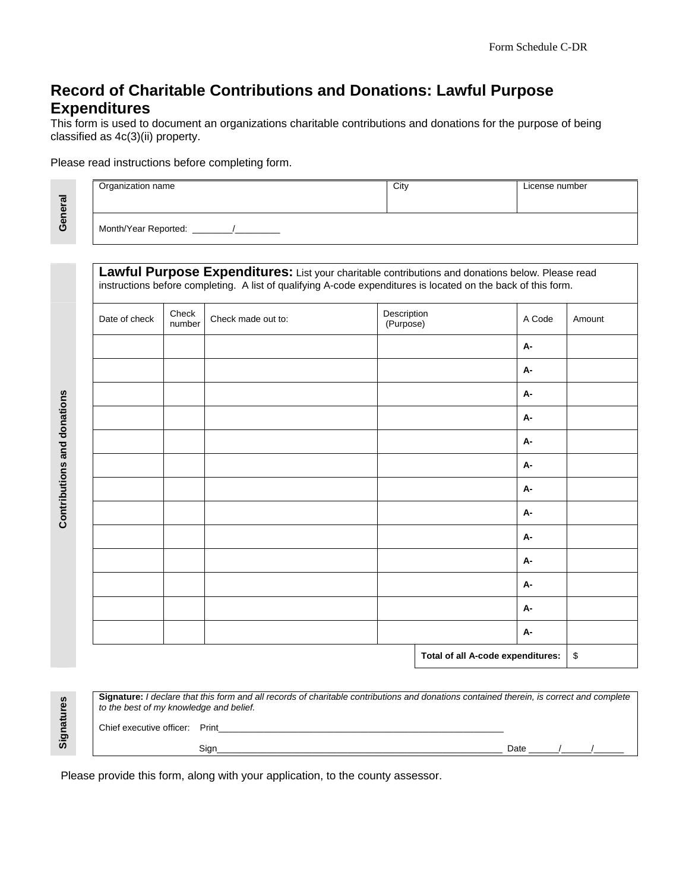# **Record of Charitable Contributions and Donations: Lawful Purpose Expenditures**

This form is used to document an organizations charitable contributions and donations for the purpose of being classified as 4c(3)(ii) property.

Organization name City City City City License number

#### Please read instructions before completing form.

Month/Year Reported:

Lawful Purpose Expenditures: List your charitable contributions and donations below. Please read instructions before completing. A list of qualifying A-code expenditures is located on the back of this form.

| Date of check | Check<br>number                   | Check made out to: | Description<br>(Purpose) |  | A Code    | Amount |
|---------------|-----------------------------------|--------------------|--------------------------|--|-----------|--------|
|               |                                   |                    |                          |  | <b>A-</b> |        |
|               |                                   |                    |                          |  | <b>A-</b> |        |
|               |                                   |                    |                          |  | <b>A-</b> |        |
|               |                                   |                    |                          |  | <b>A-</b> |        |
|               |                                   |                    |                          |  | <b>A-</b> |        |
|               |                                   |                    |                          |  | <b>A-</b> |        |
|               |                                   |                    |                          |  | <b>A-</b> |        |
|               |                                   |                    |                          |  | <b>A-</b> |        |
|               |                                   |                    |                          |  | <b>A-</b> |        |
|               |                                   |                    |                          |  | <b>A-</b> |        |
|               |                                   |                    |                          |  | <b>A-</b> |        |
|               |                                   |                    |                          |  | <b>A-</b> |        |
|               |                                   |                    |                          |  | <b>A-</b> |        |
|               | Total of all A-code expenditures: |                    |                          |  | \$        |        |

Signatures **Signatures** 

 **Contributions and donations** 

Contributions and donations

| Signature: I declare that this form and all records of charitable contributions and donations contained therein, is correct and complete<br>to the best of my knowledge and belief. |      |      |  |  |  |  |  |
|-------------------------------------------------------------------------------------------------------------------------------------------------------------------------------------|------|------|--|--|--|--|--|
| Chief executive officer: Print                                                                                                                                                      |      |      |  |  |  |  |  |
|                                                                                                                                                                                     | Sian | Date |  |  |  |  |  |

Please provide this form, along with your application, to the county assessor.